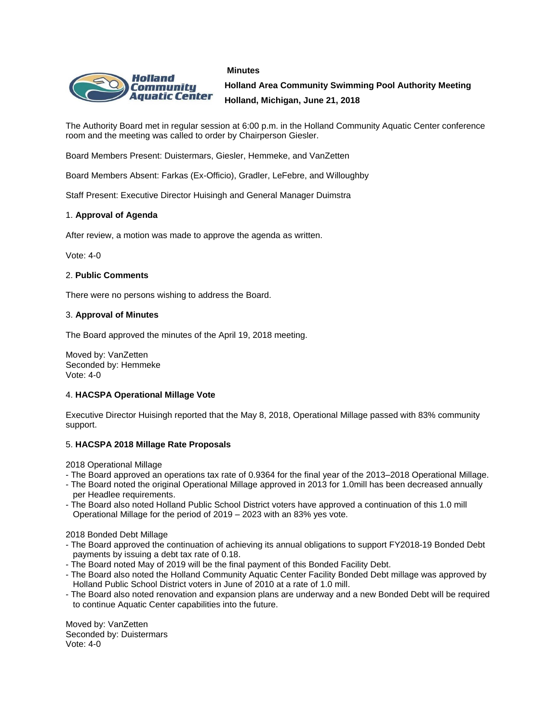### **Minutes**



**Holland Area Community Swimming Pool Authority Meeting Holland, Michigan, June 21, 2018**

The Authority Board met in regular session at 6:00 p.m. in the Holland Community Aquatic Center conference room and the meeting was called to order by Chairperson Giesler.

Board Members Present: Duistermars, Giesler, Hemmeke, and VanZetten

Board Members Absent: Farkas (Ex-Officio), Gradler, LeFebre, and Willoughby

Staff Present: Executive Director Huisingh and General Manager Duimstra

# 1. **Approval of Agenda**

After review, a motion was made to approve the agenda as written.

Vote: 4-0

### 2. **Public Comments**

There were no persons wishing to address the Board.

#### 3. **Approval of Minutes**

The Board approved the minutes of the April 19, 2018 meeting.

Moved by: VanZetten Seconded by: Hemmeke Vote: 4-0

### 4. **HACSPA Operational Millage Vote**

Executive Director Huisingh reported that the May 8, 2018, Operational Millage passed with 83% community support.

### 5. **HACSPA 2018 Millage Rate Proposals**

2018 Operational Millage

- The Board approved an operations tax rate of 0.9364 for the final year of the 2013–2018 Operational Millage.
- The Board noted the original Operational Millage approved in 2013 for 1.0mill has been decreased annually per Headlee requirements.
- The Board also noted Holland Public School District voters have approved a continuation of this 1.0 mill Operational Millage for the period of 2019 – 2023 with an 83% yes vote.

2018 Bonded Debt Millage

- The Board approved the continuation of achieving its annual obligations to support FY2018-19 Bonded Debt payments by issuing a debt tax rate of 0.18.
- The Board noted May of 2019 will be the final payment of this Bonded Facility Debt.
- The Board also noted the Holland Community Aquatic Center Facility Bonded Debt millage was approved by Holland Public School District voters in June of 2010 at a rate of 1.0 mill.
- The Board also noted renovation and expansion plans are underway and a new Bonded Debt will be required to continue Aquatic Center capabilities into the future.

Moved by: VanZetten Seconded by: Duistermars Vote: 4-0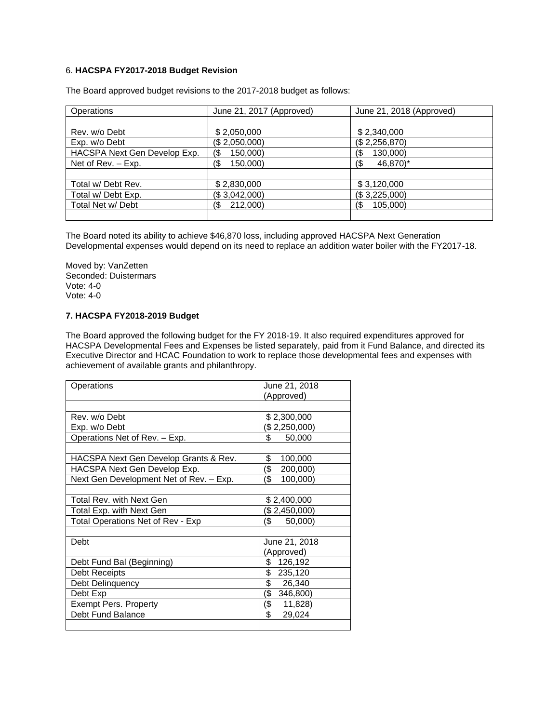# 6. **HACSPA FY2017-2018 Budget Revision**

| Operations                   | June 21, 2017 (Approved) | June 21, 2018 (Approved) |
|------------------------------|--------------------------|--------------------------|
|                              |                          |                          |
| Rev. w/o Debt                | \$2,050,000              | \$2,340,000              |
| Exp. w/o Debt                | (\$2,050,000)            | (\$2,256,870)            |
| HACSPA Next Gen Develop Exp. | 150,000)<br>(\$          | 130,000)<br>(\$          |
| Net of Rev. - Exp.           | 150,000)<br>$($ \$       | 46,870)*<br>(\$          |
|                              |                          |                          |
| Total w/Debt Rev.            | \$2,830,000              | \$3,120,000              |
| Total w/ Debt Exp.           | (\$3,042,000)            | (\$3,225,000)            |
| Total Net w/ Debt            | 212,000)<br>(\$          | 105,000)<br>(\$          |
|                              |                          |                          |

The Board approved budget revisions to the 2017-2018 budget as follows:

The Board noted its ability to achieve \$46,870 loss, including approved HACSPA Next Generation Developmental expenses would depend on its need to replace an addition water boiler with the FY2017-18.

Moved by: VanZetten Seconded: Duistermars Vote: 4-0 Vote: 4-0

# **7. HACSPA FY2018-2019 Budget**

The Board approved the following budget for the FY 2018-19. It also required expenditures approved for HACSPA Developmental Fees and Expenses be listed separately, paid from it Fund Balance, and directed its Executive Director and HCAC Foundation to work to replace those developmental fees and expenses with achievement of available grants and philanthropy.

| Operations                              | June 21, 2018   |
|-----------------------------------------|-----------------|
|                                         | (Approved)      |
|                                         |                 |
| Rev. w/o Debt                           | \$2,300,000     |
| Exp. w/o Debt                           | (\$ 2,250,000)  |
| Operations Net of Rev. - Exp.           | \$<br>50,000    |
|                                         |                 |
| HACSPA Next Gen Develop Grants & Rev.   | \$<br>100,000   |
| HACSPA Next Gen Develop Exp.            | (\$<br>200,000) |
| Next Gen Development Net of Rev. - Exp. | (\$<br>100,000) |
|                                         |                 |
| Total Rev. with Next Gen                | \$2,400,000     |
| Total Exp. with Next Gen                | (\$2,450,000)   |
| Total Operations Net of Rev - Exp       | (S<br>50,000)   |
|                                         |                 |
| Debt                                    | June 21, 2018   |
|                                         | (Approved)      |
| Debt Fund Bal (Beginning)               | \$126,192       |
| Debt Receipts                           | \$<br>235,120   |
| Debt Delinquency                        | \$26,340        |
| Debt Exp                                | (\$<br>346,800) |
| <b>Exempt Pers. Property</b>            | (\$ 11,828)     |
| Debt Fund Balance                       | \$<br>29,024    |
|                                         |                 |